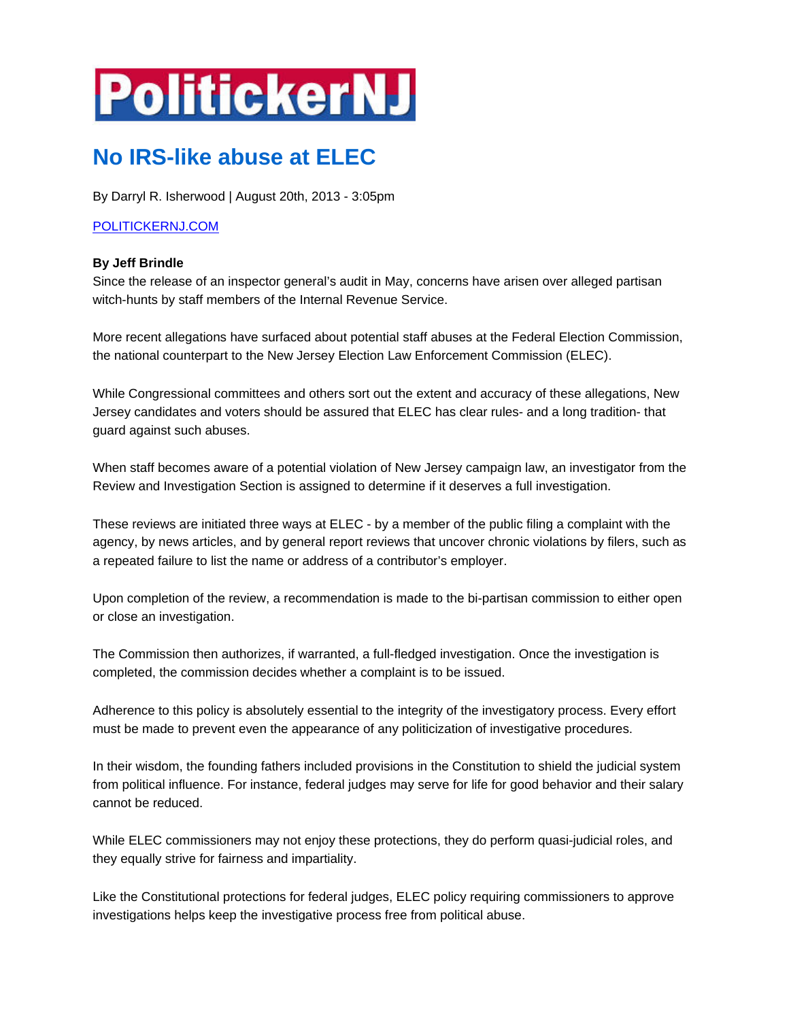## **PolitickerNJ**

## **No IRS-like abuse at ELEC**

By Darryl R. Isherwood | August 20th, 2013 - 3:05pm

## POLITICKERNJ.COM

## **By Jeff Brindle**

Since the release of an inspector general's audit in May, concerns have arisen over alleged partisan witch-hunts by staff members of the Internal Revenue Service.

More recent allegations have surfaced about potential staff abuses at the Federal Election Commission, the national counterpart to the New Jersey Election Law Enforcement Commission (ELEC).

While Congressional committees and others sort out the extent and accuracy of these allegations, New Jersey candidates and voters should be assured that ELEC has clear rules- and a long tradition- that guard against such abuses.

When staff becomes aware of a potential violation of New Jersey campaign law, an investigator from the Review and Investigation Section is assigned to determine if it deserves a full investigation.

These reviews are initiated three ways at ELEC - by a member of the public filing a complaint with the agency, by news articles, and by general report reviews that uncover chronic violations by filers, such as a repeated failure to list the name or address of a contributor's employer.

Upon completion of the review, a recommendation is made to the bi-partisan commission to either open or close an investigation.

The Commission then authorizes, if warranted, a full-fledged investigation. Once the investigation is completed, the commission decides whether a complaint is to be issued.

Adherence to this policy is absolutely essential to the integrity of the investigatory process. Every effort must be made to prevent even the appearance of any politicization of investigative procedures.

In their wisdom, the founding fathers included provisions in the Constitution to shield the judicial system from political influence. For instance, federal judges may serve for life for good behavior and their salary cannot be reduced.

While ELEC commissioners may not enjoy these protections, they do perform quasi-judicial roles, and they equally strive for fairness and impartiality.

Like the Constitutional protections for federal judges, ELEC policy requiring commissioners to approve investigations helps keep the investigative process free from political abuse.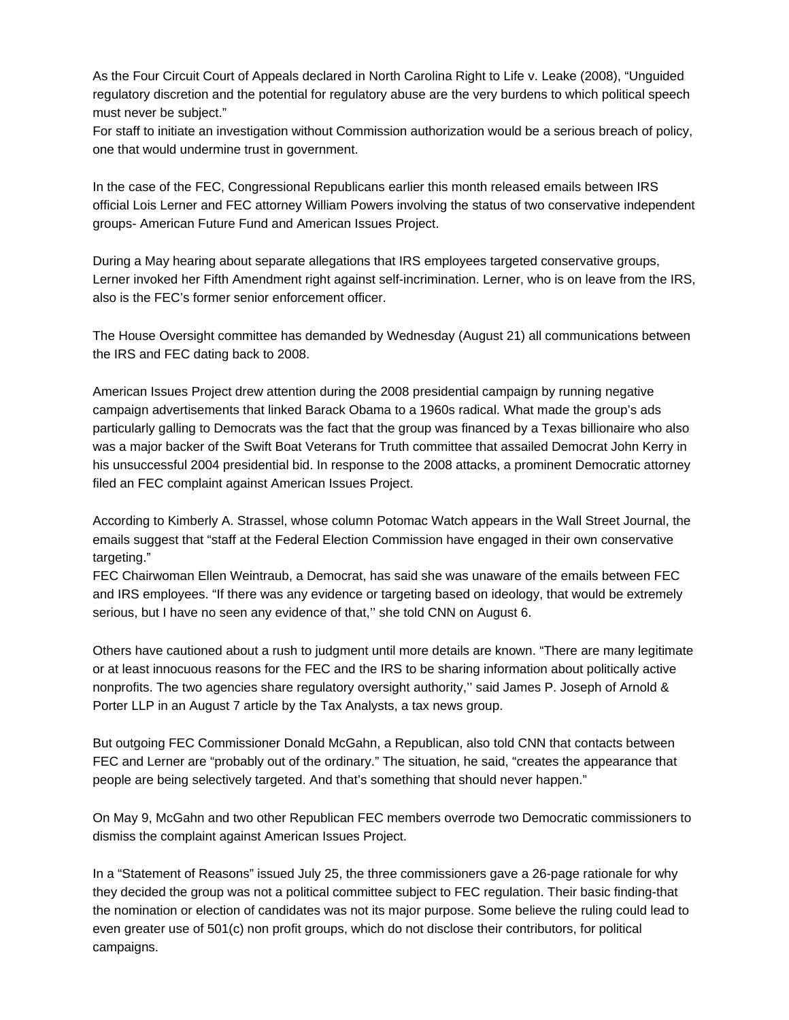As the Four Circuit Court of Appeals declared in North Carolina Right to Life v. Leake (2008), "Unguided regulatory discretion and the potential for regulatory abuse are the very burdens to which political speech must never be subject."

For staff to initiate an investigation without Commission authorization would be a serious breach of policy, one that would undermine trust in government.

In the case of the FEC, Congressional Republicans earlier this month released emails between IRS official Lois Lerner and FEC attorney William Powers involving the status of two conservative independent groups- American Future Fund and American Issues Project.

During a May hearing about separate allegations that IRS employees targeted conservative groups, Lerner invoked her Fifth Amendment right against self-incrimination. Lerner, who is on leave from the IRS, also is the FEC's former senior enforcement officer.

The House Oversight committee has demanded by Wednesday (August 21) all communications between the IRS and FEC dating back to 2008.

American Issues Project drew attention during the 2008 presidential campaign by running negative campaign advertisements that linked Barack Obama to a 1960s radical. What made the group's ads particularly galling to Democrats was the fact that the group was financed by a Texas billionaire who also was a major backer of the Swift Boat Veterans for Truth committee that assailed Democrat John Kerry in his unsuccessful 2004 presidential bid. In response to the 2008 attacks, a prominent Democratic attorney filed an FEC complaint against American Issues Project.

According to Kimberly A. Strassel, whose column Potomac Watch appears in the Wall Street Journal, the emails suggest that "staff at the Federal Election Commission have engaged in their own conservative targeting."

FEC Chairwoman Ellen Weintraub, a Democrat, has said she was unaware of the emails between FEC and IRS employees. "If there was any evidence or targeting based on ideology, that would be extremely serious, but I have no seen any evidence of that," she told CNN on August 6.

Others have cautioned about a rush to judgment until more details are known. "There are many legitimate or at least innocuous reasons for the FEC and the IRS to be sharing information about politically active nonprofits. The two agencies share regulatory oversight authority,'' said James P. Joseph of Arnold & Porter LLP in an August 7 article by the Tax Analysts, a tax news group.

But outgoing FEC Commissioner Donald McGahn, a Republican, also told CNN that contacts between FEC and Lerner are "probably out of the ordinary." The situation, he said, "creates the appearance that people are being selectively targeted. And that's something that should never happen."

On May 9, McGahn and two other Republican FEC members overrode two Democratic commissioners to dismiss the complaint against American Issues Project.

In a "Statement of Reasons" issued July 25, the three commissioners gave a 26-page rationale for why they decided the group was not a political committee subject to FEC regulation. Their basic finding-that the nomination or election of candidates was not its major purpose. Some believe the ruling could lead to even greater use of 501(c) non profit groups, which do not disclose their contributors, for political campaigns.